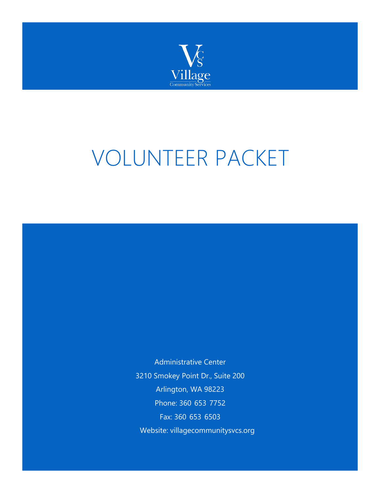

# VOLUNTEER PACKET

Administrative Center 3210 Smokey Point Dr., Suite 200 Arlington, WA 98223 Phone: 360-653-7752 Fax: 360-653-6503 Website: villagecommunitysvcs.org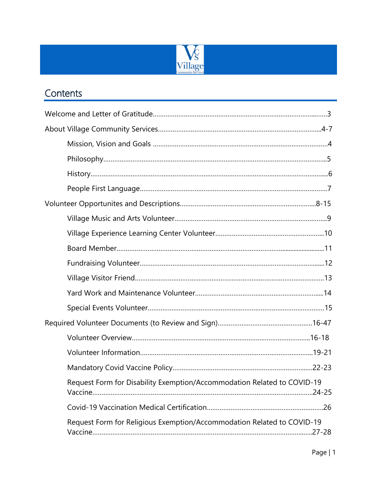

### **Contents**

| Request Form for Disability Exemption/Accommodation Related to COVID-19              |
|--------------------------------------------------------------------------------------|
|                                                                                      |
| Request Form for Religious Exemption/Accommodation Related to COVID-19<br>$.27 - 28$ |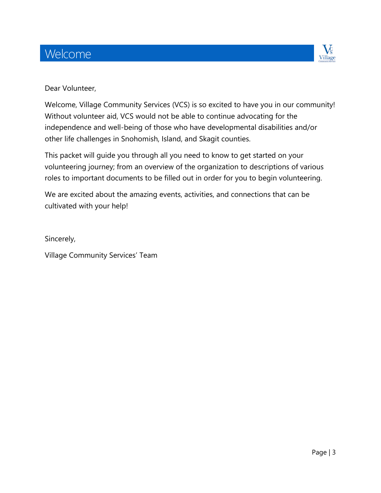### Welcome



#### Dear Volunteer,

Welcome, Village Community Services (VCS) is so excited to have you in our community! Without volunteer aid, VCS would not be able to continue advocating for the independence and well-being of those who have developmental disabilities and/or other life challenges in Snohomish, Island, and Skagit counties.

This packet will guide you through all you need to know to get started on your volunteering journey; from an overview of the organization to descriptions of various roles to important documents to be filled out in order for you to begin volunteering.

We are excited about the amazing events, activities, and connections that can be cultivated with your help!

Sincerely,

Village Community Services' Team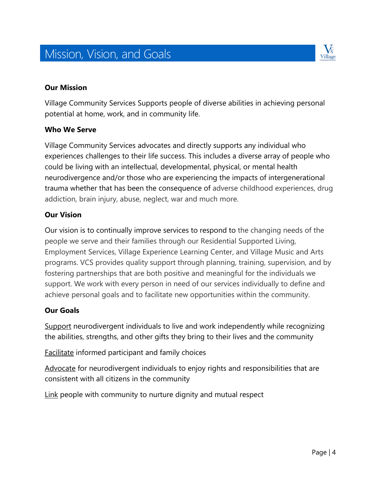# Mission, Vision, and Goals



#### **Our Mission**

Village Community Services Supports people of diverse abilities in achieving personal potential at home, work, and in community life.

#### **Who We Serve**

Village Community Services advocates and directly supports any individual who experiences challenges to their life success. This includes a diverse array of people who could be living with an intellectual, developmental, physical, or mental health neurodivergence and/or those who are experiencing the impacts of intergenerational trauma whether that has been the consequence of adverse childhood experiences, drug addiction, brain injury, abuse, neglect, war and much more.

#### **Our Vision**

Our vision is to continually improve services to respond to the changing needs of the people we serve and their families through our Residential Supported Living, Employment Services, Village Experience Learning Center, and Village Music and Arts programs. VCS provides quality support through planning, training, supervision, and by fostering partnerships that are both positive and meaningful for the individuals we support. We work with every person in need of our services individually to define and achieve personal goals and to facilitate new opportunities within the community.

#### **Our Goals**

Support neurodivergent individuals to live and work independently while recognizing the abilities, strengths, and other gifts they bring to their lives and the community

Facilitate informed participant and family choices

Advocate for neurodivergent individuals to enjoy rights and responsibilities that are consistent with all citizens in the community

Link people with community to nurture dignity and mutual respect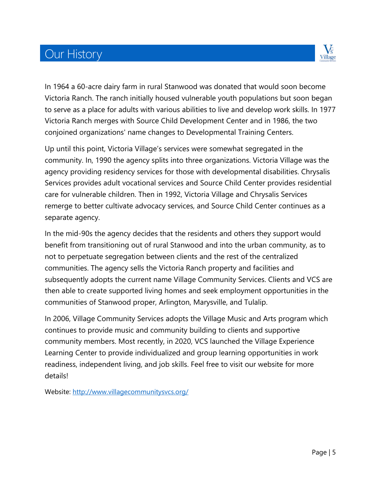# **Our History**



In 1964 a 60-acre dairy farm in rural Stanwood was donated that would soon become Victoria Ranch. The ranch initially housed vulnerable youth populations but soon began to serve as a place for adults with various abilities to live and develop work skills. In 1977 Victoria Ranch merges with Source Child Development Center and in 1986, the two conjoined organizations' name changes to Developmental Training Centers.

Up until this point, Victoria Village's services were somewhat segregated in the community. In, 1990 the agency splits into three organizations. Victoria Village was the agency providing residency services for those with developmental disabilities. Chrysalis Services provides adult vocational services and Source Child Center provides residential care for vulnerable children. Then in 1992, Victoria Village and Chrysalis Services remerge to better cultivate advocacy services, and Source Child Center continues as a separate agency.

In the mid-90s the agency decides that the residents and others they support would benefit from transitioning out of rural Stanwood and into the urban community, as to not to perpetuate segregation between clients and the rest of the centralized communities. The agency sells the Victoria Ranch property and facilities and subsequently adopts the current name Village Community Services. Clients and VCS are then able to create supported living homes and seek employment opportunities in the communities of Stanwood proper, Arlington, Marysville, and Tulalip.

In 2006, Village Community Services adopts the Village Music and Arts program which continues to provide music and community building to clients and supportive community members. Most recently, in 2020, VCS launched the Village Experience Learning Center to provide individualized and group learning opportunities in work readiness, independent living, and job skills. Feel free to visit our website for more details!

Website:<http://www.villagecommunitysvcs.org/>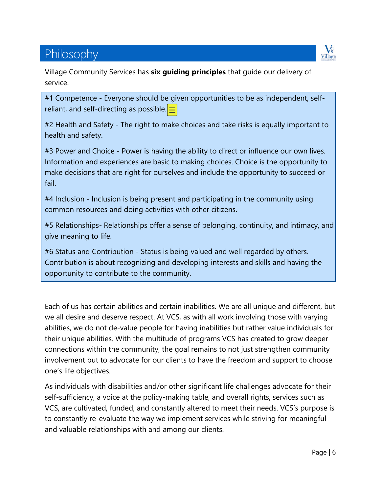# Philosophy



Village Community Services has **six guiding principles** that guide our delivery of service.

#1 Competence - Everyone should be given opportunities to be as independent, selfreliant, and self-directing as possible.  $\equiv$ 

#2 Health and Safety - The right to make choices and take risks is equally important to health and safety.

#3 Power and Choice - Power is having the ability to direct or influence our own lives. Information and experiences are basic to making choices. Choice is the opportunity to make decisions that are right for ourselves and include the opportunity to succeed or fail.

#4 Inclusion - Inclusion is being present and participating in the community using common resources and doing activities with other citizens.

#5 Relationships- Relationships offer a sense of belonging, continuity, and intimacy, and give meaning to life.

#6 Status and Contribution - Status is being valued and well regarded by others. Contribution is about recognizing and developing interests and skills and having the opportunity to contribute to the community.

Each of us has certain abilities and certain inabilities. We are all unique and different, but we all desire and deserve respect. At VCS, as with all work involving those with varying abilities, we do not de-value people for having inabilities but rather value individuals for their unique abilities. With the multitude of programs VCS has created to grow deeper connections within the community, the goal remains to not just strengthen community involvement but to advocate for our clients to have the freedom and support to choose one's life objectives.

As individuals with disabilities and/or other significant life challenges advocate for their self-sufficiency, a voice at the policy-making table, and overall rights, services such as VCS, are cultivated, funded, and constantly altered to meet their needs. VCS's purpose is to constantly re-evaluate the way we implement services while striving for meaningful and valuable relationships with and among our clients.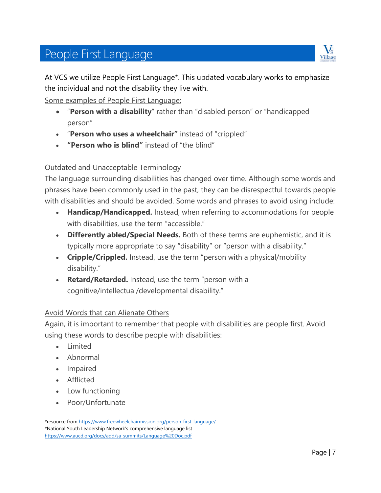# People First Language



At VCS we utilize People First Language\*. This updated vocabulary works to emphasize the individual and not the disability they live with.

Some examples of People First Language:

- "**Person with a disability**" rather than "disabled person" or "handicapped person"
- "**Person who uses a wheelchair"** instead of "crippled"
- **"Person who is blind"** instead of "the blind"

#### Outdated and Unacceptable Terminology

The language surrounding disabilities has changed over time. Although some words and phrases have been commonly used in the past, they can be disrespectful towards people with disabilities and should be avoided. Some words and phrases to avoid using include:

- **Handicap/Handicapped.** Instead, when referring to accommodations for people with disabilities, use the term "accessible."
- **Differently abled/Special Needs.** Both of these terms are euphemistic, and it is typically more appropriate to say "disability" or "person with a disability."
- **Cripple/Crippled.** Instead, use the term "person with a physical/mobility disability."
- **Retard/Retarded.** Instead, use the term "person with a cognitive/intellectual/developmental disability."

#### Avoid Words that can Alienate Others

Again, it is important to remember that people with disabilities are people first. Avoid using these words to describe people with disabilities:

- Limited
- Abnormal
- Impaired
- Afflicted
- Low functioning
- Poor/Unfortunate

<sup>\*</sup>resource from https://www.freewheelchairmission.org/person-first-language/ \*National Youth Leadership Network's comprehensive language list [https://www.aucd.org/docs/add/sa\\_summits/Language%20Doc.pdf](https://www.aucd.org/docs/add/sa_summits/Language%20Doc.pdf)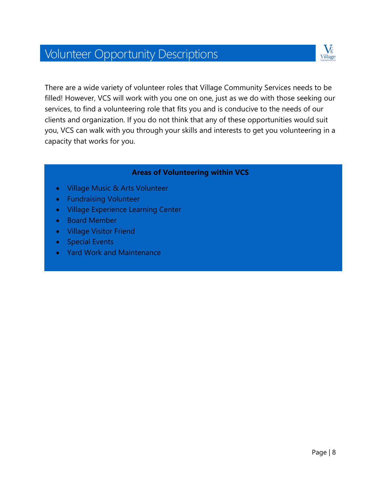# Volunteer Opportunity Descriptions



There are a wide variety of volunteer roles that Village Community Services needs to be filled! However, VCS will work with you one on one, just as we do with those seeking our services, to find a volunteering role that fits you and is conducive to the needs of our clients and organization. If you do not think that any of these opportunities would suit you, VCS can walk with you through your skills and interests to get you volunteering in a capacity that works for you.

#### **Areas of Volunteering within VCS**

- Village Music & Arts Volunteer
- Fundraising Volunteer
- Village Experience Learning Center
- Board Member
- Village Visitor Friend
- Special Events
- Yard Work and Maintenance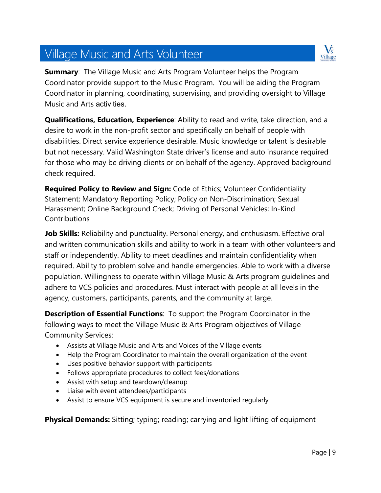#### Page | 9

### Village Music and Arts Volunteer

**Summary:** The Village Music and Arts Program Volunteer helps the Program Coordinator provide support to the Music Program. You will be aiding the Program Coordinator in planning, coordinating, supervising, and providing oversight to Village Music and Arts activities.

**Qualifications, Education, Experience**: Ability to read and write, take direction, and a desire to work in the non-profit sector and specifically on behalf of people with disabilities. Direct service experience desirable. Music knowledge or talent is desirable but not necessary. Valid Washington State driver's license and auto insurance required for those who may be driving clients or on behalf of the agency. Approved background check required.

**Required Policy to Review and Sign:** Code of Ethics; Volunteer Confidentiality Statement; Mandatory Reporting Policy; Policy on Non-Discrimination; Sexual Harassment; Online Background Check; Driving of Personal Vehicles; In-Kind **Contributions** 

**Job Skills:** Reliability and punctuality. Personal energy, and enthusiasm. Effective oral and written communication skills and ability to work in a team with other volunteers and staff or independently. Ability to meet deadlines and maintain confidentiality when required. Ability to problem solve and handle emergencies. Able to work with a diverse population. Willingness to operate within Village Music & Arts program guidelines and adhere to VCS policies and procedures. Must interact with people at all levels in the agency, customers, participants, parents, and the community at large.

**Description of Essential Functions**: To support the Program Coordinator in the following ways to meet the Village Music & Arts Program objectives of Village Community Services:

- Assists at Village Music and Arts and Voices of the Village events
- Help the Program Coordinator to maintain the overall organization of the event
- Uses positive behavior support with participants
- Follows appropriate procedures to collect fees/donations
- Assist with setup and teardown/cleanup
- Liaise with event attendees/participants
- Assist to ensure VCS equipment is secure and inventoried regularly

**Physical Demands:** Sitting; typing; reading; carrying and light lifting of equipment

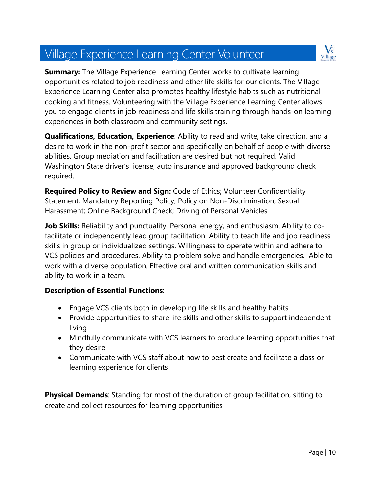# Village Experience Learning Center Volunteer



**Summary:** The Village Experience Learning Center works to cultivate learning opportunities related to job readiness and other life skills for our clients. The Village Experience Learning Center also promotes healthy lifestyle habits such as nutritional cooking and fitness. Volunteering with the Village Experience Learning Center allows you to engage clients in job readiness and life skills training through hands-on learning experiences in both classroom and community settings.

**Qualifications, Education, Experience**: Ability to read and write, take direction, and a desire to work in the non-profit sector and specifically on behalf of people with diverse abilities. Group mediation and facilitation are desired but not required. Valid Washington State driver's license, auto insurance and approved background check required.

**Required Policy to Review and Sign:** Code of Ethics; Volunteer Confidentiality Statement; Mandatory Reporting Policy; Policy on Non-Discrimination; Sexual Harassment; Online Background Check; Driving of Personal Vehicles

**Job Skills:** Reliability and punctuality. Personal energy, and enthusiasm. Ability to cofacilitate or independently lead group facilitation. Ability to teach life and job readiness skills in group or individualized settings. Willingness to operate within and adhere to VCS policies and procedures. Ability to problem solve and handle emergencies. Able to work with a diverse population. Effective oral and written communication skills and ability to work in a team.

#### **Description of Essential Functions**:

- Engage VCS clients both in developing life skills and healthy habits
- Provide opportunities to share life skills and other skills to support independent living
- Mindfully communicate with VCS learners to produce learning opportunities that they desire
- Communicate with VCS staff about how to best create and facilitate a class or learning experience for clients

**Physical Demands**: Standing for most of the duration of group facilitation, sitting to create and collect resources for learning opportunities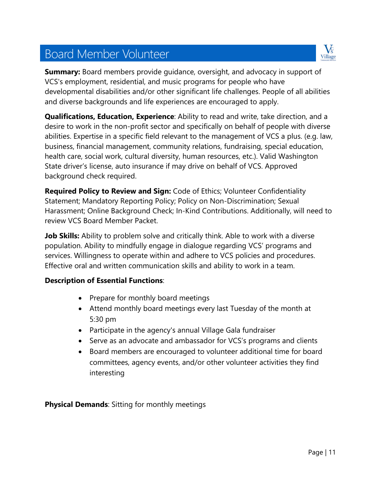# Board Member Volunteer



**Summary:** Board members provide quidance, oversight, and advocacy in support of VCS's employment, residential, and music programs for people who have developmental disabilities and/or other significant life challenges. People of all abilities and diverse backgrounds and life experiences are encouraged to apply.

**Qualifications, Education, Experience**: Ability to read and write, take direction, and a desire to work in the non-profit sector and specifically on behalf of people with diverse abilities. Expertise in a specific field relevant to the management of VCS a plus. (e.g. law, business, financial management, community relations, fundraising, special education, health care, social work, cultural diversity, human resources, etc.). Valid Washington State driver's license, auto insurance if may drive on behalf of VCS. Approved background check required.

**Required Policy to Review and Sign:** Code of Ethics; Volunteer Confidentiality Statement; Mandatory Reporting Policy; Policy on Non-Discrimination; Sexual Harassment; Online Background Check; In-Kind Contributions. Additionally, will need to review VCS Board Member Packet.

**Job Skills:** Ability to problem solve and critically think. Able to work with a diverse population. Ability to mindfully engage in dialogue regarding VCS' programs and services. Willingness to operate within and adhere to VCS policies and procedures. Effective oral and written communication skills and ability to work in a team.

#### **Description of Essential Functions**:

- Prepare for monthly board meetings
- Attend monthly board meetings every last Tuesday of the month at 5:30 pm
- Participate in the agency's annual Village Gala fundraiser
- Serve as an advocate and ambassador for VCS's programs and clients
- Board members are encouraged to volunteer additional time for board committees, agency events, and/or other volunteer activities they find interesting

**Physical Demands**: Sitting for monthly meetings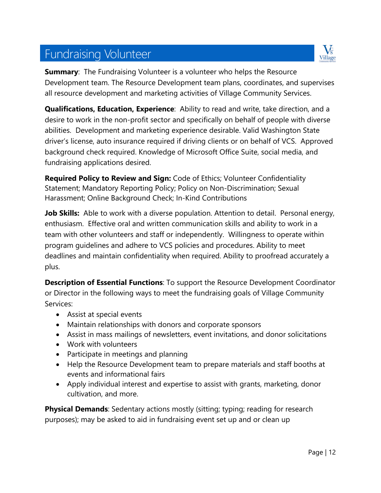# Fundraising Volunteer



**Summary:** The Fundraising Volunteer is a volunteer who helps the Resource Development team. The Resource Development team plans, coordinates, and supervises all resource development and marketing activities of Village Community Services.

**Qualifications, Education, Experience**: Ability to read and write, take direction, and a desire to work in the non-profit sector and specifically on behalf of people with diverse abilities. Development and marketing experience desirable. Valid Washington State driver's license, auto insurance required if driving clients or on behalf of VCS. Approved background check required. Knowledge of Microsoft Office Suite, social media, and fundraising applications desired.

**Required Policy to Review and Sign:** Code of Ethics; Volunteer Confidentiality Statement; Mandatory Reporting Policy; Policy on Non-Discrimination; Sexual Harassment; Online Background Check; In-Kind Contributions

**Job Skills:** Able to work with a diverse population. Attention to detail. Personal energy, enthusiasm. Effective oral and written communication skills and ability to work in a team with other volunteers and staff or independently. Willingness to operate within program guidelines and adhere to VCS policies and procedures. Ability to meet deadlines and maintain confidentiality when required. Ability to proofread accurately a plus.

**Description of Essential Functions**: To support the Resource Development Coordinator or Director in the following ways to meet the fundraising goals of Village Community Services:

- Assist at special events
- Maintain relationships with donors and corporate sponsors
- Assist in mass mailings of newsletters, event invitations, and donor solicitations
- Work with volunteers
- Participate in meetings and planning
- Help the Resource Development team to prepare materials and staff booths at events and informational fairs
- Apply individual interest and expertise to assist with grants, marketing, donor cultivation, and more.

**Physical Demands:** Sedentary actions mostly (sitting; typing; reading for research purposes); may be asked to aid in fundraising event set up and or clean up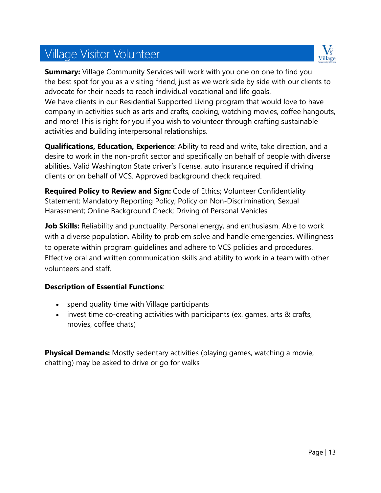# Village Visitor Volunteer



**Summary:** Village Community Services will work with you one on one to find you the best spot for you as a visiting friend, just as we work side by side with our clients to advocate for their needs to reach individual vocational and life goals. We have clients in our Residential Supported Living program that would love to have company in activities such as arts and crafts, cooking, watching movies, coffee hangouts, and more! This is right for you if you wish to volunteer through crafting sustainable activities and building interpersonal relationships.

**Qualifications, Education, Experience**: Ability to read and write, take direction, and a desire to work in the non-profit sector and specifically on behalf of people with diverse abilities. Valid Washington State driver's license, auto insurance required if driving clients or on behalf of VCS. Approved background check required.

**Required Policy to Review and Sign:** Code of Ethics; Volunteer Confidentiality Statement; Mandatory Reporting Policy; Policy on Non-Discrimination; Sexual Harassment; Online Background Check; Driving of Personal Vehicles

**Job Skills:** Reliability and punctuality. Personal energy, and enthusiasm. Able to work with a diverse population. Ability to problem solve and handle emergencies. Willingness to operate within program guidelines and adhere to VCS policies and procedures. Effective oral and written communication skills and ability to work in a team with other volunteers and staff.

#### **Description of Essential Functions**:

- spend quality time with Village participants
- invest time co-creating activities with participants (ex. games, arts & crafts, movies, coffee chats)

**Physical Demands:** Mostly sedentary activities (playing games, watching a movie, chatting) may be asked to drive or go for walks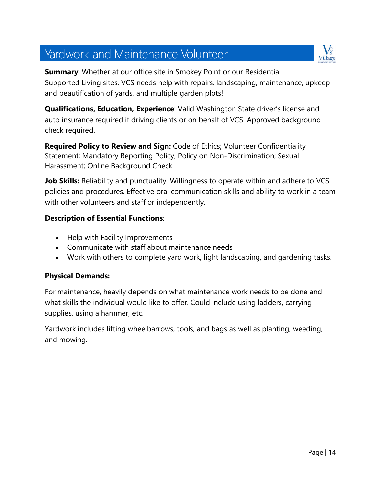# Yardwork and Maintenance Volunteer



**Summary**: Whether at our office site in Smokey Point or our Residential Supported Living sites, VCS needs help with repairs, landscaping, maintenance, upkeep and beautification of yards, and multiple garden plots!

**Qualifications, Education, Experience**: Valid Washington State driver's license and auto insurance required if driving clients or on behalf of VCS. Approved background check required.

**Required Policy to Review and Sign:** Code of Ethics; Volunteer Confidentiality Statement; Mandatory Reporting Policy; Policy on Non-Discrimination; Sexual Harassment; Online Background Check

**Job Skills:** Reliability and punctuality. Willingness to operate within and adhere to VCS policies and procedures. Effective oral communication skills and ability to work in a team with other volunteers and staff or independently.

#### **Description of Essential Functions**:

- Help with Facility Improvements
- Communicate with staff about maintenance needs
- Work with others to complete yard work, light landscaping, and gardening tasks.

#### **Physical Demands:**

For maintenance, heavily depends on what maintenance work needs to be done and what skills the individual would like to offer. Could include using ladders, carrying supplies, using a hammer, etc.

Yardwork includes lifting wheelbarrows, tools, and bags as well as planting, weeding, and mowing.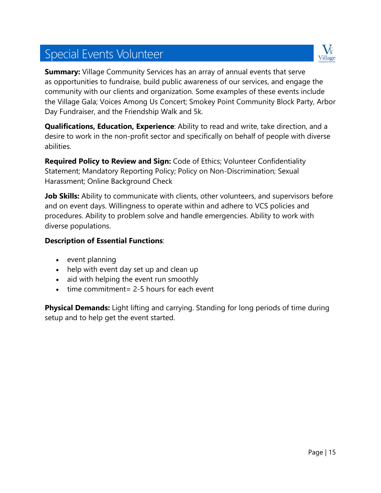# Special Events Volunteer



**Summary:** Village Community Services has an array of annual events that serve as opportunities to fundraise, build public awareness of our services, and engage the community with our clients and organization. Some examples of these events include the Village Gala; Voices Among Us Concert; Smokey Point Community Block Party, Arbor Day Fundraiser, and the Friendship Walk and 5k.

**Qualifications, Education, Experience**: Ability to read and write, take direction, and a desire to work in the non-profit sector and specifically on behalf of people with diverse abilities.

**Required Policy to Review and Sign:** Code of Ethics; Volunteer Confidentiality Statement; Mandatory Reporting Policy; Policy on Non-Discrimination; Sexual Harassment; Online Background Check

**Job Skills:** Ability to communicate with clients, other volunteers, and supervisors before and on event days. Willingness to operate within and adhere to VCS policies and procedures. Ability to problem solve and handle emergencies. Ability to work with diverse populations.

#### **Description of Essential Functions**:

- event planning
- help with event day set up and clean up
- aid with helping the event run smoothly
- $\bullet$  time commitment = 2-5 hours for each event

**Physical Demands:** Light lifting and carrying. Standing for long periods of time during setup and to help get the event started.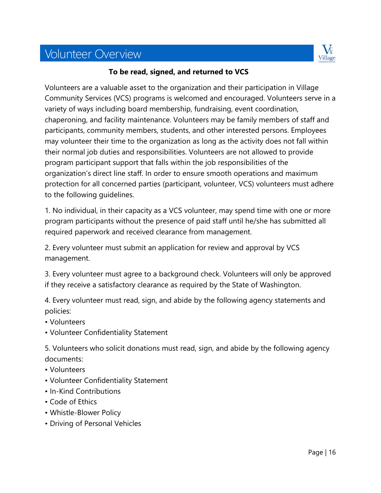# Volunteer Overview



#### **To be read, signed, and returned to VCS**

Volunteers are a valuable asset to the organization and their participation in Village Community Services (VCS) programs is welcomed and encouraged. Volunteers serve in a variety of ways including board membership, fundraising, event coordination, chaperoning, and facility maintenance. Volunteers may be family members of staff and participants, community members, students, and other interested persons. Employees may volunteer their time to the organization as long as the activity does not fall within their normal job duties and responsibilities. Volunteers are not allowed to provide program participant support that falls within the job responsibilities of the organization's direct line staff. In order to ensure smooth operations and maximum protection for all concerned parties (participant, volunteer, VCS) volunteers must adhere to the following guidelines.

1. No individual, in their capacity as a VCS volunteer, may spend time with one or more program participants without the presence of paid staff until he/she has submitted all required paperwork and received clearance from management.

2. Every volunteer must submit an application for review and approval by VCS management.

3. Every volunteer must agree to a background check. Volunteers will only be approved if they receive a satisfactory clearance as required by the State of Washington.

4. Every volunteer must read, sign, and abide by the following agency statements and policies:

- Volunteers
- Volunteer Confidentiality Statement

5. Volunteers who solicit donations must read, sign, and abide by the following agency documents:

- Volunteers
- Volunteer Confidentiality Statement
- In-Kind Contributions
- Code of Ethics
- Whistle-Blower Policy
- Driving of Personal Vehicles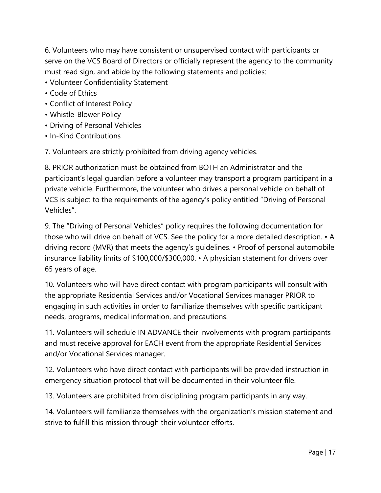6. Volunteers who may have consistent or unsupervised contact with participants or serve on the VCS Board of Directors or officially represent the agency to the community must read sign, and abide by the following statements and policies:

- Volunteer Confidentiality Statement
- Code of Ethics
- Conflict of Interest Policy
- Whistle-Blower Policy
- Driving of Personal Vehicles
- In-Kind Contributions

7. Volunteers are strictly prohibited from driving agency vehicles.

8. PRIOR authorization must be obtained from BOTH an Administrator and the participant's legal guardian before a volunteer may transport a program participant in a private vehicle. Furthermore, the volunteer who drives a personal vehicle on behalf of VCS is subject to the requirements of the agency's policy entitled "Driving of Personal Vehicles".

9. The "Driving of Personal Vehicles" policy requires the following documentation for those who will drive on behalf of VCS. See the policy for a more detailed description. • A driving record (MVR) that meets the agency's guidelines. • Proof of personal automobile insurance liability limits of \$100,000/\$300,000. • A physician statement for drivers over 65 years of age.

10. Volunteers who will have direct contact with program participants will consult with the appropriate Residential Services and/or Vocational Services manager PRIOR to engaging in such activities in order to familiarize themselves with specific participant needs, programs, medical information, and precautions.

11. Volunteers will schedule IN ADVANCE their involvements with program participants and must receive approval for EACH event from the appropriate Residential Services and/or Vocational Services manager.

12. Volunteers who have direct contact with participants will be provided instruction in emergency situation protocol that will be documented in their volunteer file.

13. Volunteers are prohibited from disciplining program participants in any way.

14. Volunteers will familiarize themselves with the organization's mission statement and strive to fulfill this mission through their volunteer efforts.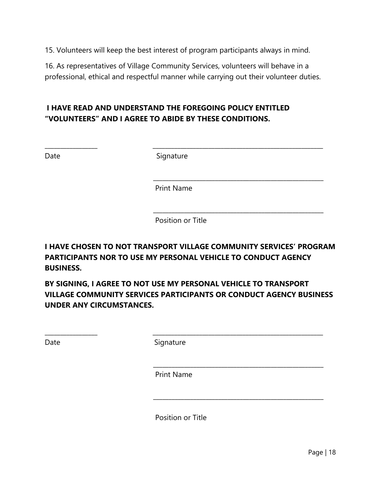15. Volunteers will keep the best interest of program participants always in mind.

16. As representatives of Village Community Services, volunteers will behave in a professional, ethical and respectful manner while carrying out their volunteer duties.

#### **I HAVE READ AND UNDERSTAND THE FOREGOING POLICY ENTITLED "VOLUNTEERS" AND I AGREE TO ABIDE BY THESE CONDITIONS.**

Date Signature

\_\_\_\_\_\_\_\_\_\_\_\_\_\_\_\_\_ \_\_\_\_\_\_\_\_\_\_\_\_\_\_\_\_\_\_\_\_\_\_\_\_\_\_\_\_\_\_\_\_\_\_\_\_\_\_\_\_\_\_\_\_\_\_\_\_\_\_\_\_\_\_\_

\_\_\_\_\_\_\_\_\_\_\_\_\_\_\_\_\_\_\_\_\_\_\_\_\_\_\_\_\_\_\_\_\_\_\_\_\_\_\_\_\_\_\_\_\_\_\_\_\_\_\_\_\_\_\_

Print Name

 \_\_\_\_\_\_\_\_\_\_\_\_\_\_\_\_\_\_\_\_\_\_\_\_\_\_\_\_\_\_\_\_\_\_\_\_\_\_\_\_\_\_\_\_\_\_\_\_\_\_\_\_\_\_\_ Position or Title

**I HAVE CHOSEN TO NOT TRANSPORT VILLAGE COMMUNITY SERVICES' PROGRAM PARTICIPANTS NOR TO USE MY PERSONAL VEHICLE TO CONDUCT AGENCY BUSINESS.** 

**BY SIGNING, I AGREE TO NOT USE MY PERSONAL VEHICLE TO TRANSPORT VILLAGE COMMUNITY SERVICES PARTICIPANTS OR CONDUCT AGENCY BUSINESS UNDER ANY CIRCUMSTANCES.** 

\_\_\_\_\_\_\_\_\_\_\_\_\_\_\_\_\_ \_\_\_\_\_\_\_\_\_\_\_\_\_\_\_\_\_\_\_\_\_\_\_\_\_\_\_\_\_\_\_\_\_\_\_\_\_\_\_\_\_\_\_\_\_\_\_\_\_\_\_\_\_\_\_

\_\_\_\_\_\_\_\_\_\_\_\_\_\_\_\_\_\_\_\_\_\_\_\_\_\_\_\_\_\_\_\_\_\_\_\_\_\_\_\_\_\_\_\_\_\_\_\_\_\_\_\_\_\_\_

\_\_\_\_\_\_\_\_\_\_\_\_\_\_\_\_\_\_\_\_\_\_\_\_\_\_\_\_\_\_\_\_\_\_\_\_\_\_\_\_\_\_\_\_\_\_\_\_\_\_\_\_\_\_\_

Date Signature

Print Name

Position or Title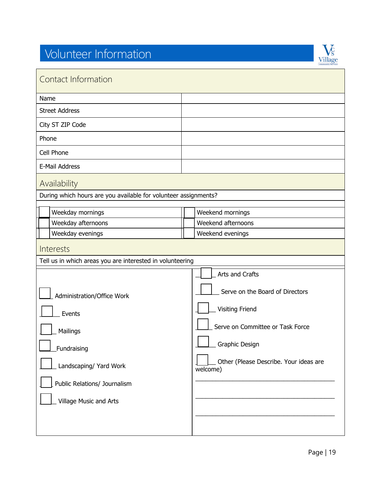# Volunteer Information



| Contact Information                                             |                                                    |  |  |
|-----------------------------------------------------------------|----------------------------------------------------|--|--|
| Name                                                            |                                                    |  |  |
| <b>Street Address</b>                                           |                                                    |  |  |
| City ST ZIP Code                                                |                                                    |  |  |
| Phone                                                           |                                                    |  |  |
| Cell Phone                                                      |                                                    |  |  |
| E-Mail Address                                                  |                                                    |  |  |
| Availability                                                    |                                                    |  |  |
| During which hours are you available for volunteer assignments? |                                                    |  |  |
| Weekday mornings                                                | Weekend mornings                                   |  |  |
| Weekday afternoons                                              | Weekend afternoons                                 |  |  |
| Weekday evenings<br>Weekend evenings                            |                                                    |  |  |
| Interests                                                       |                                                    |  |  |
| Tell us in which areas you are interested in volunteering       |                                                    |  |  |
|                                                                 | Arts and Crafts                                    |  |  |
| Administration/Office Work                                      | Serve on the Board of Directors                    |  |  |
| Events                                                          | <b>Visiting Friend</b>                             |  |  |
| Mailings                                                        | Serve on Committee or Task Force                   |  |  |
| $\perp$ Fundraising                                             | Graphic Design                                     |  |  |
| Landscaping/ Yard Work                                          | Other (Please Describe. Your ideas are<br>welcome) |  |  |
| Public Relations/ Journalism                                    |                                                    |  |  |
| Village Music and Arts                                          |                                                    |  |  |
|                                                                 |                                                    |  |  |
|                                                                 |                                                    |  |  |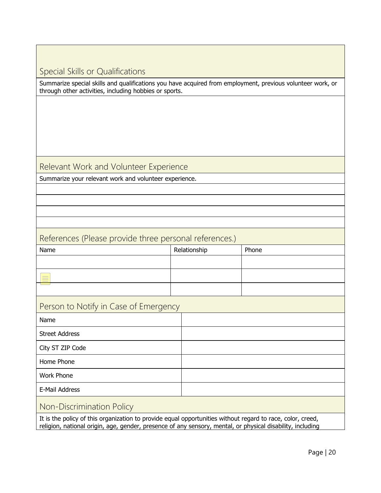#### Special Skills or Qualifications

Summarize special skills and qualifications you have acquired from employment, previous volunteer work, or through other activities, including hobbies or sports.

#### Relevant Work and Volunteer Experience

Summarize your relevant work and volunteer experience.

#### References (Please provide three personal references.)

| Name                                                   | Relationship | Phone |
|--------------------------------------------------------|--------------|-------|
|                                                        |              |       |
| $\frac{1}{2}$<br>$\frac{1}{2}$<br>$\frac{1}{2}$<br>___ |              |       |
|                                                        |              |       |

#### Person to Notify in Case of Emergency

| Name                  |  |
|-----------------------|--|
| <b>Street Address</b> |  |
| City ST ZIP Code      |  |
| Home Phone            |  |
| Work Phone            |  |
| E-Mail Address        |  |
|                       |  |

#### Non-Discrimination Policy

It is the policy of this organization to provide equal opportunities without regard to race, color, creed, religion, national origin, age, gender, presence of any sensory, mental, or physical disability, including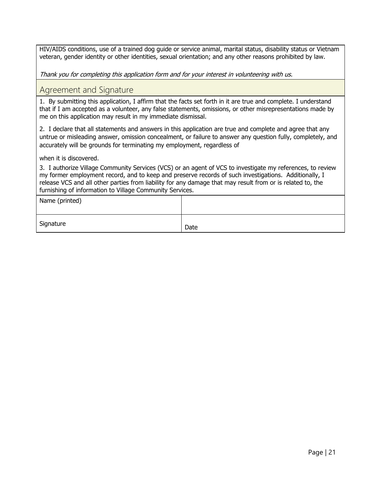HIV/AIDS conditions, use of a trained dog guide or service animal, marital status, disability status or Vietnam veteran, gender identity or other identities, sexual orientation; and any other reasons prohibited by law.

Thank you for completing this application form and for your interest in volunteering with us.

#### Agreement and Signature

1. By submitting this application, I affirm that the facts set forth in it are true and complete. I understand that if I am accepted as a volunteer, any false statements, omissions, or other misrepresentations made by me on this application may result in my immediate dismissal.

2. I declare that all statements and answers in this application are true and complete and agree that any untrue or misleading answer, omission concealment, or failure to answer any question fully, completely, and accurately will be grounds for terminating my employment, regardless of

when it is discovered.

3. I authorize Village Community Services (VCS) or an agent of VCS to investigate my references, to review my former employment record, and to keep and preserve records of such investigations. Additionally, I release VCS and all other parties from liability for any damage that may result from or is related to, the furnishing of information to Village Community Services.

| Name (printed) |      |
|----------------|------|
| Signature      | Date |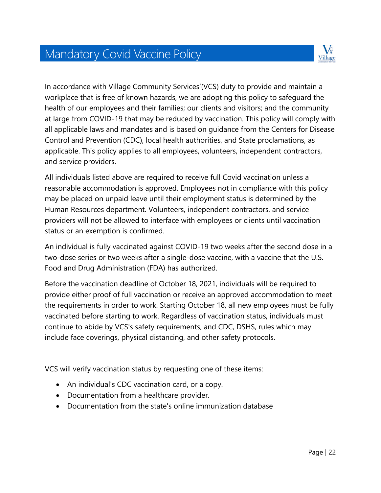# Mandatory Covid Vaccine Policy



In accordance with Village Community Services'(VCS) duty to provide and maintain a workplace that is free of known hazards, we are adopting this policy to safeguard the health of our employees and their families; our clients and visitors; and the community at large from COVID-19 that may be reduced by vaccination. This policy will comply with all applicable laws and mandates and is based on guidance from the Centers for Disease Control and Prevention (CDC), local health authorities, and State proclamations, as applicable. This policy applies to all employees, volunteers, independent contractors, and service providers.

All individuals listed above are required to receive full Covid vaccination unless a reasonable accommodation is approved. Employees not in compliance with this policy may be placed on unpaid leave until their employment status is determined by the Human Resources department. Volunteers, independent contractors, and service providers will not be allowed to interface with employees or clients until vaccination status or an exemption is confirmed.

An individual is fully vaccinated against COVID-19 two weeks after the second dose in a two-dose series or two weeks after a single-dose vaccine, with a vaccine that the U.S. Food and Drug Administration (FDA) has authorized.

Before the vaccination deadline of October 18, 2021, individuals will be required to provide either proof of full vaccination or receive an approved accommodation to meet the requirements in order to work. Starting October 18, all new employees must be fully vaccinated before starting to work. Regardless of vaccination status, individuals must continue to abide by VCS's safety requirements, and CDC, DSHS, rules which may include face coverings, physical distancing, and other safety protocols.

VCS will verify vaccination status by requesting one of these items:

- An individual's CDC vaccination card, or a copy.
- Documentation from a healthcare provider.
- Documentation from the state's online immunization database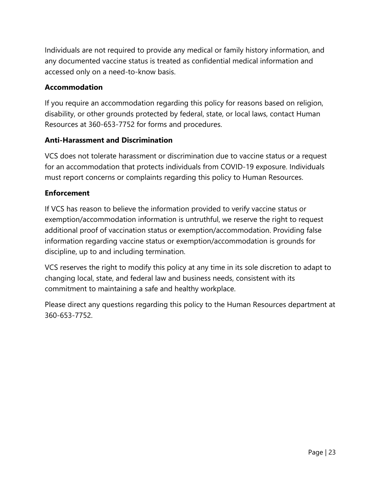Individuals are not required to provide any medical or family history information, and any documented vaccine status is treated as confidential medical information and accessed only on a need-to-know basis.

#### **Accommodation**

If you require an accommodation regarding this policy for reasons based on religion, disability, or other grounds protected by federal, state, or local laws, contact Human Resources at 360-653-7752 for forms and procedures.

#### **Anti-Harassment and Discrimination**

VCS does not tolerate harassment or discrimination due to vaccine status or a request for an accommodation that protects individuals from COVID-19 exposure. Individuals must report concerns or complaints regarding this policy to Human Resources.

#### **Enforcement**

If VCS has reason to believe the information provided to verify vaccine status or exemption/accommodation information is untruthful, we reserve the right to request additional proof of vaccination status or exemption/accommodation. Providing false information regarding vaccine status or exemption/accommodation is grounds for discipline, up to and including termination.

VCS reserves the right to modify this policy at any time in its sole discretion to adapt to changing local, state, and federal law and business needs, consistent with its commitment to maintaining a safe and healthy workplace.

Please direct any questions regarding this policy to the Human Resources department at 360-653-7752.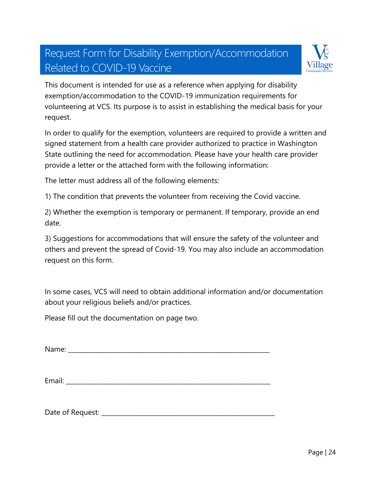# Request Form for Disability Exemption/Accommodation Related to COVID-19 Vaccine



This document is intended for use as a reference when applying for disability exemption/accommodation to the COVID-19 immunization requirements for volunteering at VCS. Its purpose is to assist in establishing the medical basis for your request.

In order to qualify for the exemption, volunteers are required to provide a written and signed statement from a health care provider authorized to practice in Washington State outlining the need for accommodation. Please have your health care provider provide a letter or the attached form with the following information:

The letter must address all of the following elements:

1) The condition that prevents the volunteer from receiving the Covid vaccine.

2) Whether the exemption is temporary or permanent. If temporary, provide an end date.

3) Suggestions for accommodations that will ensure the safety of the volunteer and others and prevent the spread of Covid-19. You may also include an accommodation request on this form.

In some cases, VCS will need to obtain additional information and/or documentation about your religious beliefs and/or practices.

Please fill out the documentation on page two.

Name: \_\_\_\_\_\_\_\_\_\_\_\_\_\_\_\_\_\_\_\_\_\_\_\_\_\_\_\_\_\_\_\_\_\_\_\_\_\_\_\_\_\_\_\_\_\_\_\_\_\_\_\_\_\_\_\_\_\_\_\_\_\_\_\_\_

Email: \_\_\_\_\_\_\_\_\_\_\_\_\_\_\_\_\_\_\_\_\_\_\_\_\_\_\_\_\_\_\_\_\_\_\_\_\_\_\_\_\_\_\_\_\_\_\_\_\_\_\_\_\_\_\_\_\_\_\_\_\_\_\_\_\_\_

Date of Request: \_\_\_\_\_\_\_\_\_\_\_\_\_\_\_\_\_\_\_\_\_\_\_\_\_\_\_\_\_\_\_\_\_\_\_\_\_\_\_\_\_\_\_\_\_\_\_\_\_\_\_\_\_\_\_\_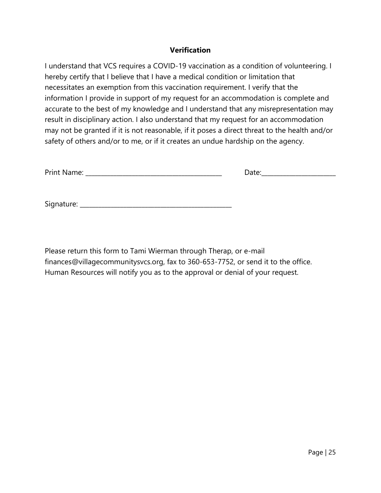#### **Verification**

I understand that VCS requires a COVID-19 vaccination as a condition of volunteering. I hereby certify that I believe that I have a medical condition or limitation that necessitates an exemption from this vaccination requirement. I verify that the information I provide in support of my request for an accommodation is complete and accurate to the best of my knowledge and I understand that any misrepresentation may result in disciplinary action. I also understand that my request for an accommodation may not be granted if it is not reasonable, if it poses a direct threat to the health and/or safety of others and/or to me, or if it creates an undue hardship on the agency.

| Print Name: | Date: |
|-------------|-------|
|             |       |
|             |       |

| Signature: |  |
|------------|--|
|            |  |

Please return this form to Tami Wierman through Therap, or e-mail finances@villagecommunitysvcs.org, fax to 360-653-7752, or send it to the office. Human Resources will notify you as to the approval or denial of your request.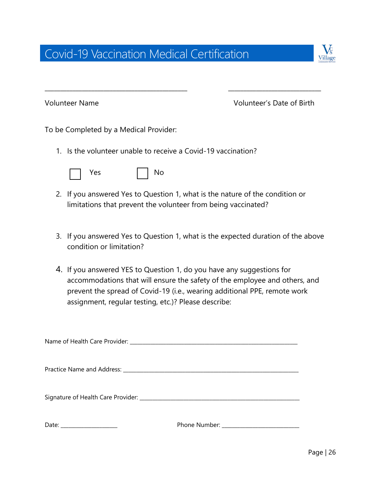# Covid-19 Vaccination Medical Certification



Volunteer Name Volunteer's Date of Birth

To be Completed by a Medical Provider:

1. Is the volunteer unable to receive a Covid-19 vaccination?

|  | -- |  |  |
|--|----|--|--|
|--|----|--|--|

2. If you answered Yes to Question 1, what is the nature of the condition or limitations that prevent the volunteer from being vaccinated?

\_\_\_\_\_\_\_\_\_\_\_\_\_\_\_\_\_\_\_\_\_\_\_\_\_\_\_\_\_\_\_\_\_\_\_\_\_\_\_\_\_\_\_\_\_\_ \_\_\_\_\_\_\_\_\_\_\_\_\_\_\_\_\_\_\_\_\_\_\_\_\_\_\_\_\_\_

- 3. If you answered Yes to Question 1, what is the expected duration of the above condition or limitation?
- 4. If you answered YES to Question 1, do you have any suggestions for accommodations that will ensure the safety of the employee and others, and prevent the spread of Covid-19 (i.e., wearing additional PPE, remote work assignment, regular testing, etc.)? Please describe: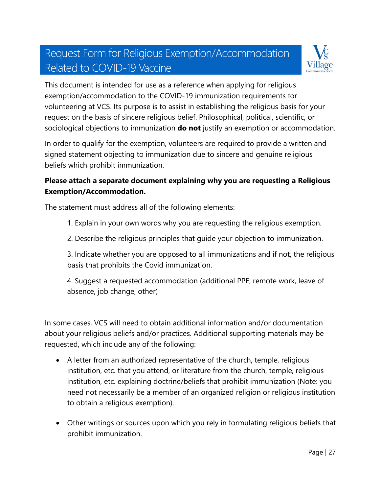# Request Form for Religious Exemption/Accommodation Related to COVID-19 Vaccine



This document is intended for use as a reference when applying for religious exemption/accommodation to the COVID-19 immunization requirements for volunteering at VCS. Its purpose is to assist in establishing the religious basis for your request on the basis of sincere religious belief. Philosophical, political, scientific, or sociological objections to immunization **do not** justify an exemption or accommodation.

In order to qualify for the exemption, volunteers are required to provide a written and signed statement objecting to immunization due to sincere and genuine religious beliefs which prohibit immunization.

#### **Please attach a separate document explaining why you are requesting a Religious Exemption/Accommodation.**

The statement must address all of the following elements:

- 1. Explain in your own words why you are requesting the religious exemption.
- 2. Describe the religious principles that guide your objection to immunization.

3. Indicate whether you are opposed to all immunizations and if not, the religious basis that prohibits the Covid immunization.

4. Suggest a requested accommodation (additional PPE, remote work, leave of absence, job change, other)

In some cases, VCS will need to obtain additional information and/or documentation about your religious beliefs and/or practices. Additional supporting materials may be requested, which include any of the following:

- A letter from an authorized representative of the church, temple, religious institution, etc. that you attend, or literature from the church, temple, religious institution, etc. explaining doctrine/beliefs that prohibit immunization (Note: you need not necessarily be a member of an organized religion or religious institution to obtain a religious exemption).
- Other writings or sources upon which you rely in formulating religious beliefs that prohibit immunization.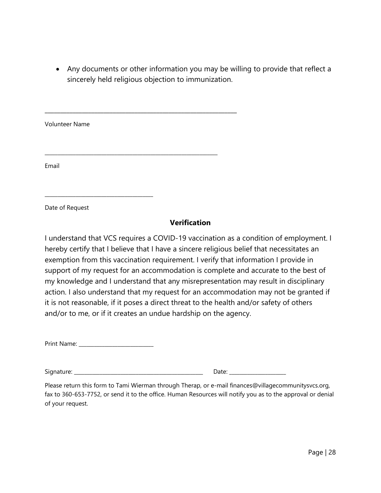• Any documents or other information you may be willing to provide that reflect a sincerely held religious objection to immunization.

Volunteer Name \_\_\_\_\_\_\_\_\_\_\_\_\_\_\_\_\_\_\_\_\_\_\_\_\_\_\_\_\_\_\_\_\_\_\_\_\_\_\_\_\_\_\_\_\_\_\_\_\_\_\_\_\_\_\_\_\_\_\_\_\_\_\_\_\_\_\_ Email

\_\_\_\_\_\_\_\_\_\_\_\_\_\_\_\_\_\_\_\_\_\_\_\_\_\_\_\_\_\_\_\_\_\_\_\_\_\_\_\_\_\_\_\_\_\_\_\_\_\_\_\_\_\_\_\_\_\_\_\_\_\_

Date of Request

#### **Verification**

I understand that VCS requires a COVID-19 vaccination as a condition of employment. I hereby certify that I believe that I have a sincere religious belief that necessitates an exemption from this vaccination requirement. I verify that information I provide in support of my request for an accommodation is complete and accurate to the best of my knowledge and I understand that any misrepresentation may result in disciplinary action. I also understand that my request for an accommodation may not be granted if it is not reasonable, if it poses a direct threat to the health and/or safety of others and/or to me, or if it creates an undue hardship on the agency.

| Print Name: |  |
|-------------|--|
|-------------|--|

\_\_\_\_\_\_\_\_\_\_\_\_\_\_\_\_\_\_\_\_\_\_\_\_\_\_\_\_\_\_\_\_\_\_\_\_\_\_\_\_\_\_

Signature: \_\_\_\_\_\_\_\_\_\_\_\_\_\_\_\_\_\_\_\_\_\_\_\_\_\_\_\_\_\_\_\_\_\_\_\_\_\_\_\_\_\_\_\_\_\_\_\_\_\_ Date: \_\_\_\_\_\_\_\_\_\_\_\_\_\_\_\_\_\_\_\_\_\_

Please return this form to Tami Wierman through Therap, or e-mail finances@villagecommunitysvcs.org, fax to 360-653-7752, or send it to the office. Human Resources will notify you as to the approval or denial of your request.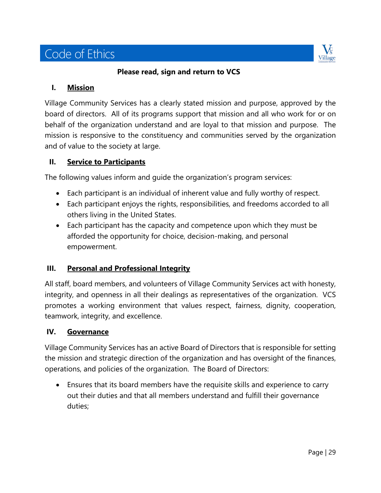# Code of Ethics



**Please read, sign and return to VCS**

#### **I. Mission**

Village Community Services has a clearly stated mission and purpose, approved by the board of directors. All of its programs support that mission and all who work for or on behalf of the organization understand and are loyal to that mission and purpose. The mission is responsive to the constituency and communities served by the organization and of value to the society at large.

#### **II. Service to Participants**

The following values inform and guide the organization's program services:

- Each participant is an individual of inherent value and fully worthy of respect.
- Each participant enjoys the rights, responsibilities, and freedoms accorded to all others living in the United States.
- Each participant has the capacity and competence upon which they must be afforded the opportunity for choice, decision-making, and personal empowerment.

#### **III. Personal and Professional Integrity**

All staff, board members, and volunteers of Village Community Services act with honesty, integrity, and openness in all their dealings as representatives of the organization. VCS promotes a working environment that values respect, fairness, dignity, cooperation, teamwork, integrity, and excellence.

#### **IV. Governance**

Village Community Services has an active Board of Directors that is responsible for setting the mission and strategic direction of the organization and has oversight of the finances, operations, and policies of the organization. The Board of Directors:

• Ensures that its board members have the requisite skills and experience to carry out their duties and that all members understand and fulfill their governance duties;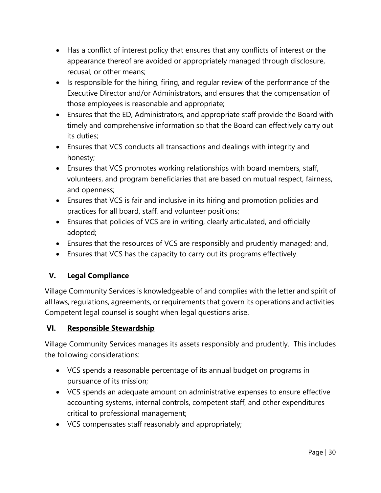- Has a conflict of interest policy that ensures that any conflicts of interest or the appearance thereof are avoided or appropriately managed through disclosure, recusal, or other means;
- Is responsible for the hiring, firing, and regular review of the performance of the Executive Director and/or Administrators, and ensures that the compensation of those employees is reasonable and appropriate;
- Ensures that the ED, Administrators, and appropriate staff provide the Board with timely and comprehensive information so that the Board can effectively carry out its duties;
- Ensures that VCS conducts all transactions and dealings with integrity and honesty;
- Ensures that VCS promotes working relationships with board members, staff, volunteers, and program beneficiaries that are based on mutual respect, fairness, and openness;
- Ensures that VCS is fair and inclusive in its hiring and promotion policies and practices for all board, staff, and volunteer positions;
- Ensures that policies of VCS are in writing, clearly articulated, and officially adopted;
- Ensures that the resources of VCS are responsibly and prudently managed; and,
- Ensures that VCS has the capacity to carry out its programs effectively.

#### **V. Legal Compliance**

Village Community Services is knowledgeable of and complies with the letter and spirit of all laws, regulations, agreements, or requirements that govern its operations and activities. Competent legal counsel is sought when legal questions arise.

#### **VI. Responsible Stewardship**

Village Community Services manages its assets responsibly and prudently. This includes the following considerations:

- VCS spends a reasonable percentage of its annual budget on programs in pursuance of its mission;
- VCS spends an adequate amount on administrative expenses to ensure effective accounting systems, internal controls, competent staff, and other expenditures critical to professional management;
- VCS compensates staff reasonably and appropriately;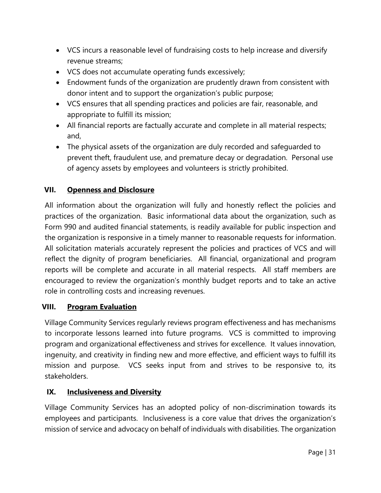- VCS incurs a reasonable level of fundraising costs to help increase and diversify revenue streams;
- VCS does not accumulate operating funds excessively;
- Endowment funds of the organization are prudently drawn from consistent with donor intent and to support the organization's public purpose;
- VCS ensures that all spending practices and policies are fair, reasonable, and appropriate to fulfill its mission;
- All financial reports are factually accurate and complete in all material respects; and,
- The physical assets of the organization are duly recorded and safeguarded to prevent theft, fraudulent use, and premature decay or degradation. Personal use of agency assets by employees and volunteers is strictly prohibited.

#### **VII. Openness and Disclosure**

All information about the organization will fully and honestly reflect the policies and practices of the organization. Basic informational data about the organization, such as Form 990 and audited financial statements, is readily available for public inspection and the organization is responsive in a timely manner to reasonable requests for information. All solicitation materials accurately represent the policies and practices of VCS and will reflect the dignity of program beneficiaries. All financial, organizational and program reports will be complete and accurate in all material respects. All staff members are encouraged to review the organization's monthly budget reports and to take an active role in controlling costs and increasing revenues.

#### **VIII. Program Evaluation**

Village Community Services regularly reviews program effectiveness and has mechanisms to incorporate lessons learned into future programs. VCS is committed to improving program and organizational effectiveness and strives for excellence. It values innovation, ingenuity, and creativity in finding new and more effective, and efficient ways to fulfill its mission and purpose. VCS seeks input from and strives to be responsive to, its stakeholders.

#### **IX. Inclusiveness and Diversity**

Village Community Services has an adopted policy of non-discrimination towards its employees and participants. Inclusiveness is a core value that drives the organization's mission of service and advocacy on behalf of individuals with disabilities. The organization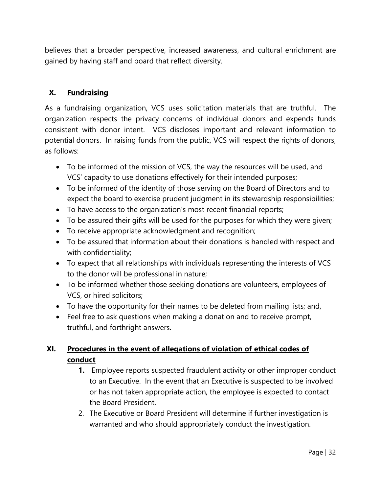believes that a broader perspective, increased awareness, and cultural enrichment are gained by having staff and board that reflect diversity.

#### **X. Fundraising**

As a fundraising organization, VCS uses solicitation materials that are truthful. The organization respects the privacy concerns of individual donors and expends funds consistent with donor intent. VCS discloses important and relevant information to potential donors. In raising funds from the public, VCS will respect the rights of donors, as follows:

- To be informed of the mission of VCS, the way the resources will be used, and VCS' capacity to use donations effectively for their intended purposes;
- To be informed of the identity of those serving on the Board of Directors and to expect the board to exercise prudent judgment in its stewardship responsibilities;
- To have access to the organization's most recent financial reports;
- To be assured their gifts will be used for the purposes for which they were given;
- To receive appropriate acknowledgment and recognition;
- To be assured that information about their donations is handled with respect and with confidentiality;
- To expect that all relationships with individuals representing the interests of VCS to the donor will be professional in nature;
- To be informed whether those seeking donations are volunteers, employees of VCS, or hired solicitors;
- To have the opportunity for their names to be deleted from mailing lists; and,
- Feel free to ask questions when making a donation and to receive prompt, truthful, and forthright answers.

#### **XI. Procedures in the event of allegations of violation of ethical codes of conduct**

- **1.** Employee reports suspected fraudulent activity or other improper conduct to an Executive. In the event that an Executive is suspected to be involved or has not taken appropriate action, the employee is expected to contact the Board President.
- 2. The Executive or Board President will determine if further investigation is warranted and who should appropriately conduct the investigation.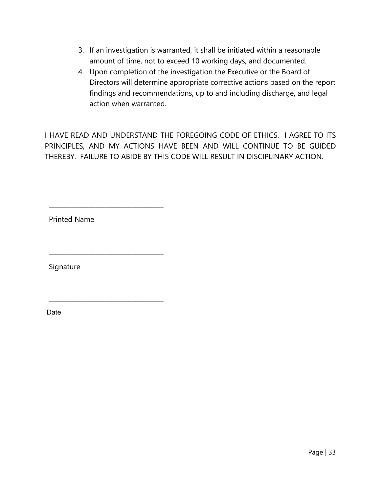- 3. If an investigation is warranted, it shall be initiated within a reasonable amount of time, not to exceed 10 working days, and documented.
- 4. Upon completion of the investigation the Executive or the Board of Directors will determine appropriate corrective actions based on the report findings and recommendations, up to and including discharge, and legal action when warranted.

I HAVE READ AND UNDERSTAND THE FOREGOING CODE OF ETHICS. I AGREE TO ITS PRINCIPLES, AND MY ACTIONS HAVE BEEN AND WILL CONTINUE TO BE GUIDED THEREBY. FAILURE TO ABIDE BY THIS CODE WILL RESULT IN DISCIPLINARY ACTION.

Printed Name

\_\_\_\_\_\_\_\_\_\_\_\_\_\_\_\_\_\_\_\_\_\_\_\_\_\_\_\_\_\_\_\_\_\_\_\_\_

\_\_\_\_\_\_\_\_\_\_\_\_\_\_\_\_\_\_\_\_\_\_\_\_\_\_\_\_\_\_\_\_\_\_\_\_\_

\_\_\_\_\_\_\_\_\_\_\_\_\_\_\_\_\_\_\_\_\_\_\_\_\_\_\_\_\_\_\_\_\_\_\_\_\_

Signature

Date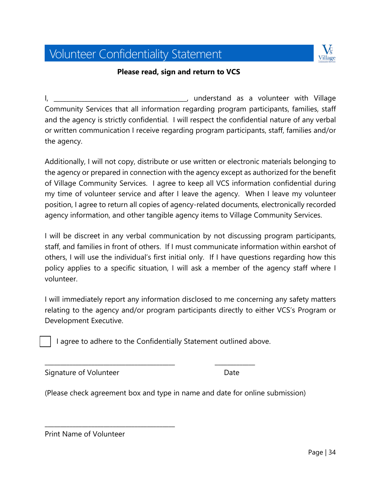# Volunteer Confidentiality Statement



#### **Please read, sign and return to VCS**

I, \_\_\_\_\_\_\_\_\_\_\_\_\_\_\_\_\_\_\_\_\_\_\_\_\_\_\_\_\_\_\_\_\_\_\_\_\_\_\_\_\_\_\_, understand as a volunteer with Village Community Services that all information regarding program participants, families, staff and the agency is strictly confidential. I will respect the confidential nature of any verbal or written communication I receive regarding program participants, staff, families and/or the agency.

Additionally, I will not copy, distribute or use written or electronic materials belonging to the agency or prepared in connection with the agency except as authorized for the benefit of Village Community Services. I agree to keep all VCS information confidential during my time of volunteer service and after I leave the agency. When I leave my volunteer position, I agree to return all copies of agency-related documents, electronically recorded agency information, and other tangible agency items to Village Community Services.

I will be discreet in any verbal communication by not discussing program participants, staff, and families in front of others. If I must communicate information within earshot of others, I will use the individual's first initial only. If I have questions regarding how this policy applies to a specific situation, I will ask a member of the agency staff where I volunteer.

I will immediately report any information disclosed to me concerning any safety matters relating to the agency and/or program participants directly to either VCS's Program or Development Executive.

I agree to adhere to the Confidentially Statement outlined above.

\_\_\_\_\_\_\_\_\_\_\_\_\_\_\_\_\_\_\_\_\_\_\_\_\_\_\_\_\_\_\_\_\_\_\_\_\_\_\_\_\_\_ \_\_\_\_\_\_\_\_\_\_\_\_\_

Signature of Volunteer and Date Date

(Please check agreement box and type in name and date for online submission)

Print Name of Volunteer

\_\_\_\_\_\_\_\_\_\_\_\_\_\_\_\_\_\_\_\_\_\_\_\_\_\_\_\_\_\_\_\_\_\_\_\_\_\_\_\_\_\_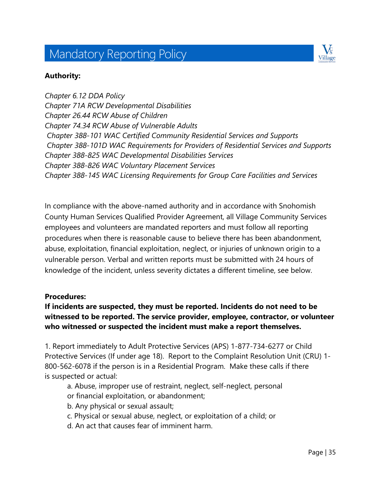# Mandatory Reporting Policy



#### **Authority:**

*Chapter 6.12 DDA Policy Chapter 71A RCW Developmental Disabilities Chapter 26.44 RCW Abuse of Children Chapter 74.34 RCW Abuse of Vulnerable Adults Chapter 388-101 WAC Certified Community Residential Services and Supports Chapter 388-101D WAC Requirements for Providers of Residential Services and Supports Chapter 388-825 WAC Developmental Disabilities Services Chapter 388-826 WAC Voluntary Placement Services Chapter 388-145 WAC Licensing Requirements for Group Care Facilities and Services*

In compliance with the above-named authority and in accordance with Snohomish County Human Services Qualified Provider Agreement, all Village Community Services employees and volunteers are mandated reporters and must follow all reporting procedures when there is reasonable cause to believe there has been abandonment, abuse, exploitation, financial exploitation, neglect, or injuries of unknown origin to a vulnerable person. Verbal and written reports must be submitted with 24 hours of knowledge of the incident, unless severity dictates a different timeline, see below.

#### **Procedures:**

#### **If incidents are suspected, they must be reported. Incidents do not need to be witnessed to be reported. The service provider, employee, contractor, or volunteer who witnessed or suspected the incident must make a report themselves.**

1. Report immediately to Adult Protective Services (APS) 1-877-734-6277 or Child Protective Services (If under age 18). Report to the Complaint Resolution Unit (CRU) 1- 800-562-6078 if the person is in a Residential Program. Make these calls if there is suspected or actual:

- a. Abuse, improper use of restraint, neglect, self-neglect, personal or financial exploitation, or abandonment;
- b. Any physical or sexual assault;
- c. Physical or sexual abuse, neglect, or exploitation of a child; or
- d. An act that causes fear of imminent harm.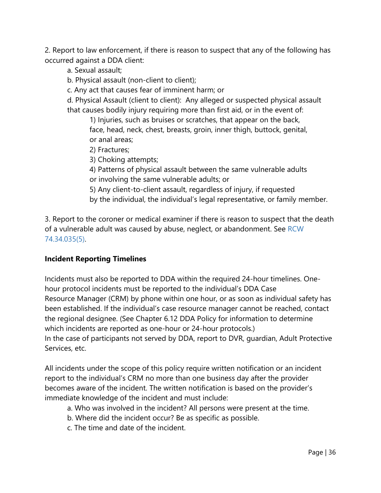2. Report to law enforcement, if there is reason to suspect that any of the following has occurred against a DDA client:

a. Sexual assault;

b. Physical assault (non-client to client);

c. Any act that causes fear of imminent harm; or

d. Physical Assault (client to client): Any alleged or suspected physical assault that causes bodily injury requiring more than first aid, or in the event of:

1) Injuries, such as bruises or scratches, that appear on the back, face, head, neck, chest, breasts, groin, inner thigh, buttock, genital, or anal areas;

2) Fractures;

3) Choking attempts;

- 4) Patterns of physical assault between the same vulnerable adults or involving the same vulnerable adults; or
- 5) Any client-to-client assault, regardless of injury, if requested by the individual, the individual's legal representative, or family member.

3. Report to the coroner or medical examiner if there is reason to suspect that the death of a vulnerable adult was caused by abuse, neglect, or abandonment. See RCW 74.34.035(5).

#### **Incident Reporting Timelines**

Incidents must also be reported to DDA within the required 24-hour timelines. Onehour protocol incidents must be reported to the individual's DDA Case Resource Manager (CRM) by phone within one hour, or as soon as individual safety has been established. If the individual's case resource manager cannot be reached, contact the regional designee. (See Chapter 6.12 DDA Policy for information to determine which incidents are reported as one-hour or 24-hour protocols.) In the case of participants not served by DDA, report to DVR, guardian, Adult Protective Services, etc.

All incidents under the scope of this policy require written notification or an incident report to the individual's CRM no more than one business day after the provider becomes aware of the incident. The written notification is based on the provider's immediate knowledge of the incident and must include:

- a. Who was involved in the incident? All persons were present at the time.
- b. Where did the incident occur? Be as specific as possible.
- c. The time and date of the incident.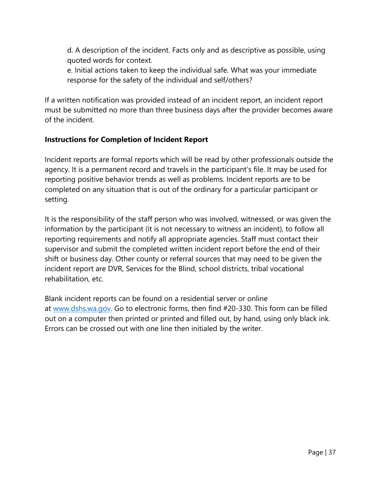d. A description of the incident. Facts only and as descriptive as possible, using quoted words for context.

e. Initial actions taken to keep the individual safe. What was your immediate response for the safety of the individual and self/others?

If a written notification was provided instead of an incident report, an incident report must be submitted no more than three business days after the provider becomes aware of the incident.

#### **Instructions for Completion of Incident Report**

Incident reports are formal reports which will be read by other professionals outside the agency. It is a permanent record and travels in the participant's file. It may be used for reporting positive behavior trends as well as problems. Incident reports are to be completed on any situation that is out of the ordinary for a particular participant or setting.

It is the responsibility of the staff person who was involved, witnessed, or was given the information by the participant (it is not necessary to witness an incident), to follow all reporting requirements and notify all appropriate agencies. Staff must contact their supervisor and submit the completed written incident report before the end of their shift or business day. Other county or referral sources that may need to be given the incident report are DVR, Services for the Blind, school districts, tribal vocational rehabilitation, etc.

Blank incident reports can be found on a residential server or online at [www.dshs.wa.gov.](http://www.dshs.wa.gov/) Go to electronic forms, then find #20-330. This form can be filled out on a computer then printed or printed and filled out, by hand, using only black ink. Errors can be crossed out with one line then initialed by the writer.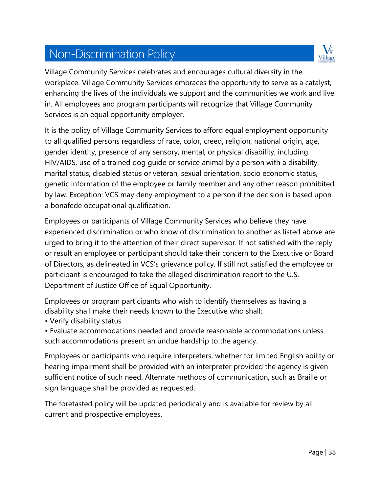# Non-Discrimination Policy



Village Community Services celebrates and encourages cultural diversity in the workplace. Village Community Services embraces the opportunity to serve as a catalyst, enhancing the lives of the individuals we support and the communities we work and live in. All employees and program participants will recognize that Village Community Services is an equal opportunity employer.

It is the policy of Village Community Services to afford equal employment opportunity to all qualified persons regardless of race, color, creed, religion, national origin, age, gender identity, presence of any sensory, mental, or physical disability, including HIV/AIDS, use of a trained dog guide or service animal by a person with a disability, marital status, disabled status or veteran, sexual orientation, socio economic status, genetic information of the employee or family member and any other reason prohibited by law. Exception: VCS may deny employment to a person if the decision is based upon a bonafede occupational qualification.

Employees or participants of Village Community Services who believe they have experienced discrimination or who know of discrimination to another as listed above are urged to bring it to the attention of their direct supervisor. If not satisfied with the reply or result an employee or participant should take their concern to the Executive or Board of Directors, as delineated in VCS's grievance policy. If still not satisfied the employee or participant is encouraged to take the alleged discrimination report to the U.S. Department of Justice Office of Equal Opportunity.

Employees or program participants who wish to identify themselves as having a disability shall make their needs known to the Executive who shall:

- Verify disability status
- Evaluate accommodations needed and provide reasonable accommodations unless such accommodations present an undue hardship to the agency.

Employees or participants who require interpreters, whether for limited English ability or hearing impairment shall be provided with an interpreter provided the agency is given sufficient notice of such need. Alternate methods of communication, such as Braille or sign language shall be provided as requested.

The foretasted policy will be updated periodically and is available for review by all current and prospective employees.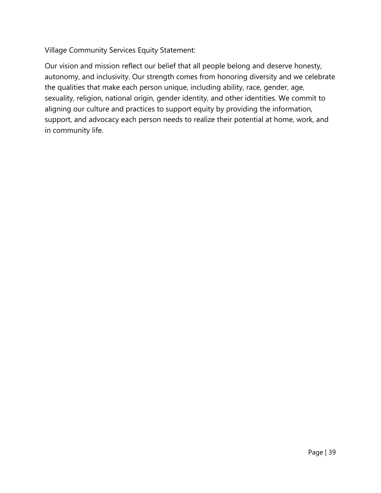Village Community Services Equity Statement:

Our vision and mission reflect our belief that all people belong and deserve honesty, autonomy, and inclusivity. Our strength comes from honoring diversity and we celebrate the qualities that make each person unique, including ability, race, gender, age, sexuality, religion, national origin, gender identity, and other identities. We commit to aligning our culture and practices to support equity by providing the information, support, and advocacy each person needs to realize their potential at home, work, and in community life.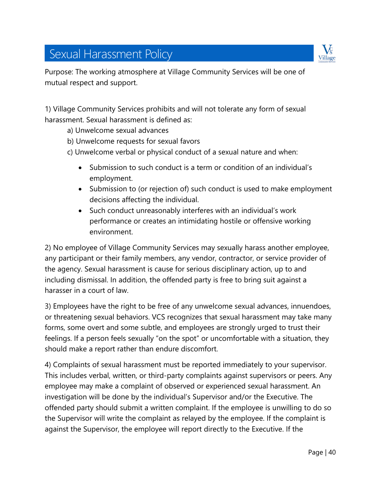# Sexual Harassment Policy



Purpose: The working atmosphere at Village Community Services will be one of mutual respect and support.

1) Village Community Services prohibits and will not tolerate any form of sexual harassment. Sexual harassment is defined as:

- a) Unwelcome sexual advances
- b) Unwelcome requests for sexual favors
- c) Unwelcome verbal or physical conduct of a sexual nature and when:
	- Submission to such conduct is a term or condition of an individual's employment.
	- Submission to (or rejection of) such conduct is used to make employment decisions affecting the individual.
	- Such conduct unreasonably interferes with an individual's work performance or creates an intimidating hostile or offensive working environment.

2) No employee of Village Community Services may sexually harass another employee, any participant or their family members, any vendor, contractor, or service provider of the agency. Sexual harassment is cause for serious disciplinary action, up to and including dismissal. In addition, the offended party is free to bring suit against a harasser in a court of law.

3) Employees have the right to be free of any unwelcome sexual advances, innuendoes, or threatening sexual behaviors. VCS recognizes that sexual harassment may take many forms, some overt and some subtle, and employees are strongly urged to trust their feelings. If a person feels sexually "on the spot" or uncomfortable with a situation, they should make a report rather than endure discomfort.

4) Complaints of sexual harassment must be reported immediately to your supervisor. This includes verbal, written, or third-party complaints against supervisors or peers. Any employee may make a complaint of observed or experienced sexual harassment. An investigation will be done by the individual's Supervisor and/or the Executive. The offended party should submit a written complaint. If the employee is unwilling to do so the Supervisor will write the complaint as relayed by the employee. If the complaint is against the Supervisor, the employee will report directly to the Executive. If the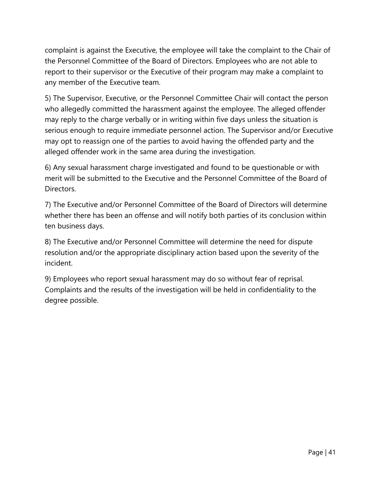complaint is against the Executive, the employee will take the complaint to the Chair of the Personnel Committee of the Board of Directors. Employees who are not able to report to their supervisor or the Executive of their program may make a complaint to any member of the Executive team.

5) The Supervisor, Executive, or the Personnel Committee Chair will contact the person who allegedly committed the harassment against the employee. The alleged offender may reply to the charge verbally or in writing within five days unless the situation is serious enough to require immediate personnel action. The Supervisor and/or Executive may opt to reassign one of the parties to avoid having the offended party and the alleged offender work in the same area during the investigation.

6) Any sexual harassment charge investigated and found to be questionable or with merit will be submitted to the Executive and the Personnel Committee of the Board of Directors.

7) The Executive and/or Personnel Committee of the Board of Directors will determine whether there has been an offense and will notify both parties of its conclusion within ten business days.

8) The Executive and/or Personnel Committee will determine the need for dispute resolution and/or the appropriate disciplinary action based upon the severity of the incident.

9) Employees who report sexual harassment may do so without fear of reprisal. Complaints and the results of the investigation will be held in confidentiality to the degree possible.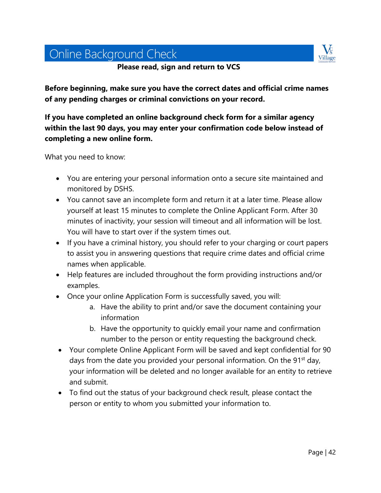# Online Background Check

**Please read, sign and return to VCS**



**Before beginning, make sure you have the correct dates and official crime names of any pending charges or criminal convictions on your record.** 

**If you have completed an online background check form for a similar agency within the last 90 days, you may enter your confirmation code below instead of completing a new online form.** 

What you need to know:

- You are entering your personal information onto a secure site maintained and monitored by DSHS.
- You cannot save an incomplete form and return it at a later time. Please allow yourself at least 15 minutes to complete the Online Applicant Form. After 30 minutes of inactivity, your session will timeout and all information will be lost. You will have to start over if the system times out.
- If you have a criminal history, you should refer to your charging or court papers to assist you in answering questions that require crime dates and official crime names when applicable.
- Help features are included throughout the form providing instructions and/or examples.
- Once your online Application Form is successfully saved, you will:
	- a. Have the ability to print and/or save the document containing your information
	- b. Have the opportunity to quickly email your name and confirmation number to the person or entity requesting the background check.
- Your complete Online Applicant Form will be saved and kept confidential for 90 days from the date you provided your personal information. On the 91<sup>st</sup> day, your information will be deleted and no longer available for an entity to retrieve and submit.
- To find out the status of your background check result, please contact the person or entity to whom you submitted your information to.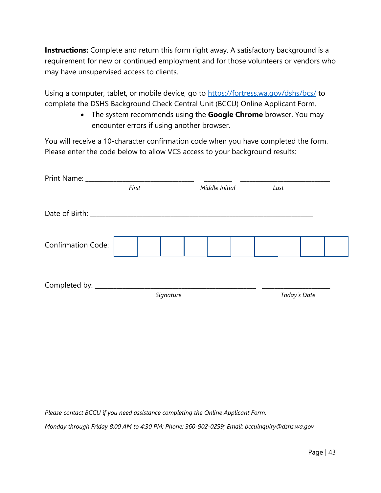**Instructions:** Complete and return this form right away. A satisfactory background is a requirement for new or continued employment and for those volunteers or vendors who may have unsupervised access to clients.

Using a computer, tablet, or mobile device, go to<https://fortress.wa.gov/dshs/bcs/> to complete the DSHS Background Check Central Unit (BCCU) Online Applicant Form.

> • The system recommends using the **Google Chrome** browser. You may encounter errors if using another browser.

You will receive a 10-character confirmation code when you have completed the form. Please enter the code below to allow VCS access to your background results:

| Print Name: ___                            |       |           |  |                        |  |              |  |  |
|--------------------------------------------|-------|-----------|--|------------------------|--|--------------|--|--|
|                                            | First |           |  | Middle Initial<br>Last |  |              |  |  |
| Date of Birth: National Property of Birth: |       |           |  |                        |  |              |  |  |
| <b>Confirmation Code:</b>                  |       |           |  |                        |  |              |  |  |
| Completed by: _______                      |       | Signature |  |                        |  | Today's Date |  |  |

*Please contact BCCU if you need assistance completing the Online Applicant Form.* 

*Monday through Friday 8:00 AM to 4:30 PM; Phone: 360-902-0299; Email: bccuinquiry@dshs.wa.gov*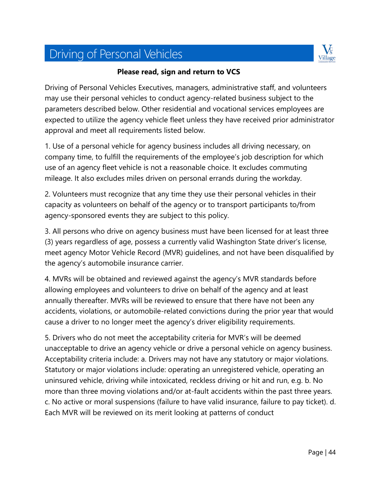# Driving of Personal Vehicles



#### **Please read, sign and return to VCS**

Driving of Personal Vehicles Executives, managers, administrative staff, and volunteers may use their personal vehicles to conduct agency-related business subject to the parameters described below. Other residential and vocational services employees are expected to utilize the agency vehicle fleet unless they have received prior administrator approval and meet all requirements listed below.

1. Use of a personal vehicle for agency business includes all driving necessary, on company time, to fulfill the requirements of the employee's job description for which use of an agency fleet vehicle is not a reasonable choice. It excludes commuting mileage. It also excludes miles driven on personal errands during the workday.

2. Volunteers must recognize that any time they use their personal vehicles in their capacity as volunteers on behalf of the agency or to transport participants to/from agency-sponsored events they are subject to this policy.

3. All persons who drive on agency business must have been licensed for at least three (3) years regardless of age, possess a currently valid Washington State driver's license, meet agency Motor Vehicle Record (MVR) guidelines, and not have been disqualified by the agency's automobile insurance carrier.

4. MVRs will be obtained and reviewed against the agency's MVR standards before allowing employees and volunteers to drive on behalf of the agency and at least annually thereafter. MVRs will be reviewed to ensure that there have not been any accidents, violations, or automobile-related convictions during the prior year that would cause a driver to no longer meet the agency's driver eligibility requirements.

5. Drivers who do not meet the acceptability criteria for MVR's will be deemed unacceptable to drive an agency vehicle or drive a personal vehicle on agency business. Acceptability criteria include: a. Drivers may not have any statutory or major violations. Statutory or major violations include: operating an unregistered vehicle, operating an uninsured vehicle, driving while intoxicated, reckless driving or hit and run, e.g. b. No more than three moving violations and/or at-fault accidents within the past three years. c. No active or moral suspensions (failure to have valid insurance, failure to pay ticket). d. Each MVR will be reviewed on its merit looking at patterns of conduct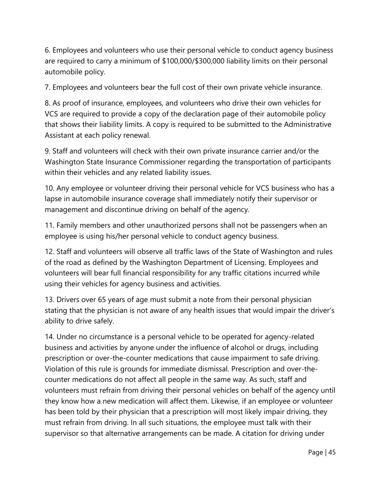6. Employees and volunteers who use their personal vehicle to conduct agency business are required to carry a minimum of \$100,000/\$300,000 liability limits on their personal automobile policy.

7. Employees and volunteers bear the full cost of their own private vehicle insurance.

8. As proof of insurance, employees, and volunteers who drive their own vehicles for VCS are required to provide a copy of the declaration page of their automobile policy that shows their liability limits. A copy is required to be submitted to the Administrative Assistant at each policy renewal.

9. Staff and volunteers will check with their own private insurance carrier and/or the Washington State Insurance Commissioner regarding the transportation of participants within their vehicles and any related liability issues.

10. Any employee or volunteer driving their personal vehicle for VCS business who has a lapse in automobile insurance coverage shall immediately notify their supervisor or management and discontinue driving on behalf of the agency.

11. Family members and other unauthorized persons shall not be passengers when an employee is using his/her personal vehicle to conduct agency business.

12. Staff and volunteers will observe all traffic laws of the State of Washington and rules of the road as defined by the Washington Department of Licensing. Employees and volunteers will bear full financial responsibility for any traffic citations incurred while using their vehicles for agency business and activities.

13. Drivers over 65 years of age must submit a note from their personal physician stating that the physician is not aware of any health issues that would impair the driver's ability to drive safely.

14. Under no circumstance is a personal vehicle to be operated for agency-related business and activities by anyone under the influence of alcohol or drugs, including prescription or over-the-counter medications that cause impairment to safe driving. Violation of this rule is grounds for immediate dismissal. Prescription and over-thecounter medications do not affect all people in the same way. As such, staff and volunteers must refrain from driving their personal vehicles on behalf of the agency until they know how a new medication will affect them. Likewise, if an employee or volunteer has been told by their physician that a prescription will most likely impair driving, they must refrain from driving. In all such situations, the employee must talk with their supervisor so that alternative arrangements can be made. A citation for driving under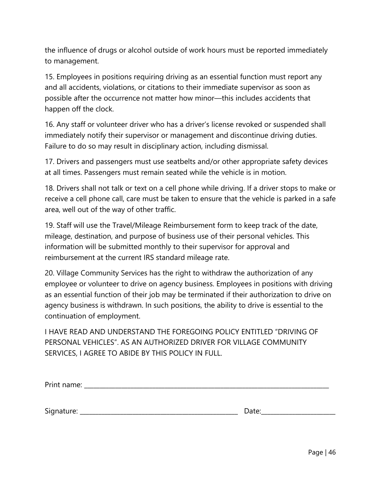the influence of drugs or alcohol outside of work hours must be reported immediately to management.

15. Employees in positions requiring driving as an essential function must report any and all accidents, violations, or citations to their immediate supervisor as soon as possible after the occurrence not matter how minor—this includes accidents that happen off the clock.

16. Any staff or volunteer driver who has a driver's license revoked or suspended shall immediately notify their supervisor or management and discontinue driving duties. Failure to do so may result in disciplinary action, including dismissal.

17. Drivers and passengers must use seatbelts and/or other appropriate safety devices at all times. Passengers must remain seated while the vehicle is in motion.

18. Drivers shall not talk or text on a cell phone while driving. If a driver stops to make or receive a cell phone call, care must be taken to ensure that the vehicle is parked in a safe area, well out of the way of other traffic.

19. Staff will use the Travel/Mileage Reimbursement form to keep track of the date, mileage, destination, and purpose of business use of their personal vehicles. This information will be submitted monthly to their supervisor for approval and reimbursement at the current IRS standard mileage rate.

20. Village Community Services has the right to withdraw the authorization of any employee or volunteer to drive on agency business. Employees in positions with driving as an essential function of their job may be terminated if their authorization to drive on agency business is withdrawn. In such positions, the ability to drive is essential to the continuation of employment.

I HAVE READ AND UNDERSTAND THE FOREGOING POLICY ENTITLED "DRIVING OF PERSONAL VEHICLES". AS AN AUTHORIZED DRIVER FOR VILLAGE COMMUNITY SERVICES, I AGREE TO ABIDE BY THIS POLICY IN FULL.

| <b>Print</b><br>$\sim$ |  |  |  |  |
|------------------------|--|--|--|--|
|                        |  |  |  |  |

Signature: \_\_\_\_\_\_\_\_\_\_\_\_\_\_\_\_\_\_\_\_\_\_\_\_\_\_\_\_\_\_\_\_\_\_\_\_\_\_\_\_\_\_\_\_\_\_\_\_\_\_\_ Date:\_\_\_\_\_\_\_\_\_\_\_\_\_\_\_\_\_\_\_\_\_\_\_\_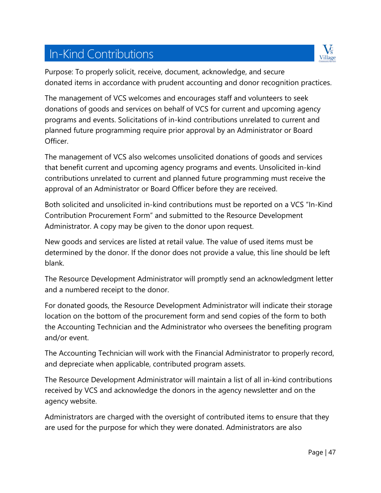# In-Kind Contributions



Purpose: To properly solicit, receive, document, acknowledge, and secure donated items in accordance with prudent accounting and donor recognition practices.

The management of VCS welcomes and encourages staff and volunteers to seek donations of goods and services on behalf of VCS for current and upcoming agency programs and events. Solicitations of in-kind contributions unrelated to current and planned future programming require prior approval by an Administrator or Board Officer.

The management of VCS also welcomes unsolicited donations of goods and services that benefit current and upcoming agency programs and events. Unsolicited in-kind contributions unrelated to current and planned future programming must receive the approval of an Administrator or Board Officer before they are received.

Both solicited and unsolicited in-kind contributions must be reported on a VCS "In-Kind Contribution Procurement Form" and submitted to the Resource Development Administrator. A copy may be given to the donor upon request.

New goods and services are listed at retail value. The value of used items must be determined by the donor. If the donor does not provide a value, this line should be left blank.

The Resource Development Administrator will promptly send an acknowledgment letter and a numbered receipt to the donor.

For donated goods, the Resource Development Administrator will indicate their storage location on the bottom of the procurement form and send copies of the form to both the Accounting Technician and the Administrator who oversees the benefiting program and/or event.

The Accounting Technician will work with the Financial Administrator to properly record, and depreciate when applicable, contributed program assets.

The Resource Development Administrator will maintain a list of all in-kind contributions received by VCS and acknowledge the donors in the agency newsletter and on the agency website.

Administrators are charged with the oversight of contributed items to ensure that they are used for the purpose for which they were donated. Administrators are also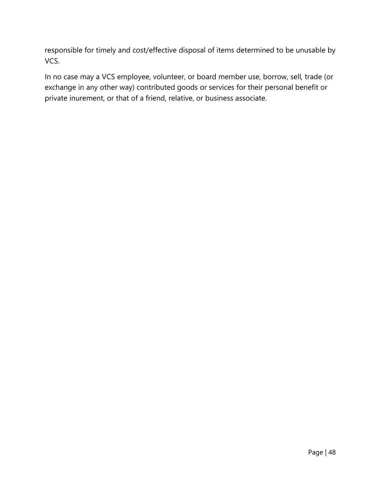responsible for timely and cost/effective disposal of items determined to be unusable by VCS.

In no case may a VCS employee, volunteer, or board member use, borrow, sell, trade (or exchange in any other way) contributed goods or services for their personal benefit or private inurement, or that of a friend, relative, or business associate.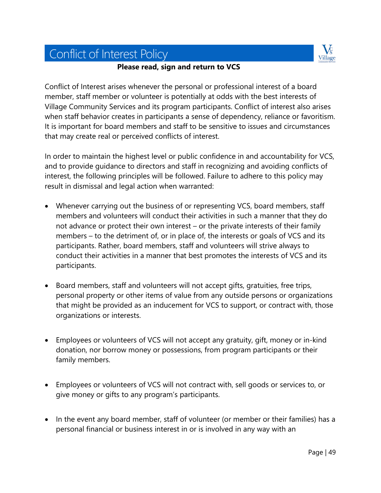# Conflict of Interest Policy



#### **Please read, sign and return to VCS**

Conflict of Interest arises whenever the personal or professional interest of a board member, staff member or volunteer is potentially at odds with the best interests of Village Community Services and its program participants. Conflict of interest also arises when staff behavior creates in participants a sense of dependency, reliance or favoritism. It is important for board members and staff to be sensitive to issues and circumstances that may create real or perceived conflicts of interest.

In order to maintain the highest level or public confidence in and accountability for VCS, and to provide guidance to directors and staff in recognizing and avoiding conflicts of interest, the following principles will be followed. Failure to adhere to this policy may result in dismissal and legal action when warranted:

- Whenever carrying out the business of or representing VCS, board members, staff members and volunteers will conduct their activities in such a manner that they do not advance or protect their own interest – or the private interests of their family members – to the detriment of, or in place of, the interests or goals of VCS and its participants. Rather, board members, staff and volunteers will strive always to conduct their activities in a manner that best promotes the interests of VCS and its participants.
- Board members, staff and volunteers will not accept gifts, gratuities, free trips, personal property or other items of value from any outside persons or organizations that might be provided as an inducement for VCS to support, or contract with, those organizations or interests.
- Employees or volunteers of VCS will not accept any gratuity, gift, money or in-kind donation, nor borrow money or possessions, from program participants or their family members.
- Employees or volunteers of VCS will not contract with, sell goods or services to, or give money or gifts to any program's participants.
- In the event any board member, staff of volunteer (or member or their families) has a personal financial or business interest in or is involved in any way with an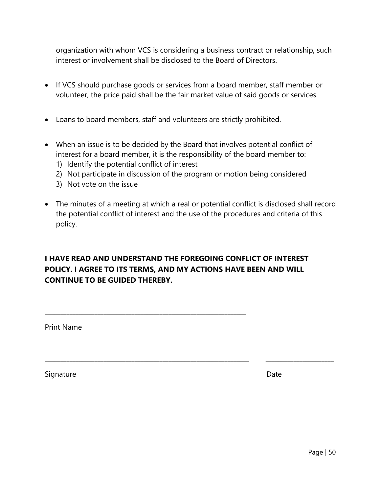organization with whom VCS is considering a business contract or relationship, such interest or involvement shall be disclosed to the Board of Directors.

- If VCS should purchase goods or services from a board member, staff member or volunteer, the price paid shall be the fair market value of said goods or services.
- Loans to board members, staff and volunteers are strictly prohibited.
- When an issue is to be decided by the Board that involves potential conflict of interest for a board member, it is the responsibility of the board member to:
	- 1) Identify the potential conflict of interest
	- 2) Not participate in discussion of the program or motion being considered
	- 3) Not vote on the issue
- The minutes of a meeting at which a real or potential conflict is disclosed shall record the potential conflict of interest and the use of the procedures and criteria of this policy.

\_\_\_\_\_\_\_\_\_\_\_\_\_\_\_\_\_\_\_\_\_\_\_\_\_\_\_\_\_\_\_\_\_\_\_\_\_\_\_\_\_\_\_\_\_\_\_\_\_\_\_\_\_\_\_\_\_\_\_\_\_\_\_\_\_\_ \_\_\_\_\_\_\_\_\_\_\_\_\_\_\_\_\_\_\_\_\_\_

#### **I HAVE READ AND UNDERSTAND THE FOREGOING CONFLICT OF INTEREST POLICY. I AGREE TO ITS TERMS, AND MY ACTIONS HAVE BEEN AND WILL CONTINUE TO BE GUIDED THEREBY.**

\_\_\_\_\_\_\_\_\_\_\_\_\_\_\_\_\_\_\_\_\_\_\_\_\_\_\_\_\_\_\_\_\_\_\_\_\_\_\_\_\_\_\_\_\_\_\_\_\_\_\_\_\_\_\_\_\_\_\_\_\_\_\_\_\_

Print Name

Signature Date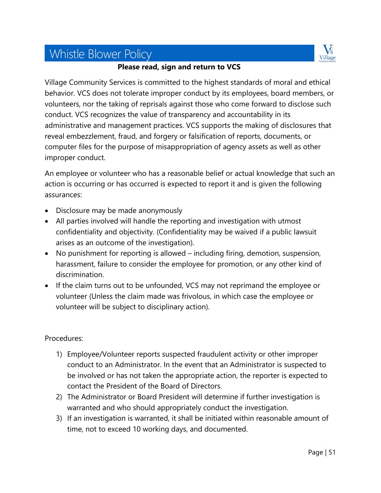# Whistle Blower Policy



#### **Please read, sign and return to VCS**

Village Community Services is committed to the highest standards of moral and ethical behavior. VCS does not tolerate improper conduct by its employees, board members, or volunteers, nor the taking of reprisals against those who come forward to disclose such conduct. VCS recognizes the value of transparency and accountability in its administrative and management practices. VCS supports the making of disclosures that reveal embezzlement, fraud, and forgery or falsification of reports, documents, or computer files for the purpose of misappropriation of agency assets as well as other improper conduct.

An employee or volunteer who has a reasonable belief or actual knowledge that such an action is occurring or has occurred is expected to report it and is given the following assurances:

- Disclosure may be made anonymously
- All parties involved will handle the reporting and investigation with utmost confidentiality and objectivity. (Confidentiality may be waived if a public lawsuit arises as an outcome of the investigation).
- No punishment for reporting is allowed including firing, demotion, suspension, harassment, failure to consider the employee for promotion, or any other kind of discrimination.
- If the claim turns out to be unfounded, VCS may not reprimand the employee or volunteer (Unless the claim made was frivolous, in which case the employee or volunteer will be subject to disciplinary action).

#### Procedures:

- 1) Employee/Volunteer reports suspected fraudulent activity or other improper conduct to an Administrator. In the event that an Administrator is suspected to be involved or has not taken the appropriate action, the reporter is expected to contact the President of the Board of Directors.
- 2) The Administrator or Board President will determine if further investigation is warranted and who should appropriately conduct the investigation.
- 3) If an investigation is warranted, it shall be initiated within reasonable amount of time, not to exceed 10 working days, and documented.